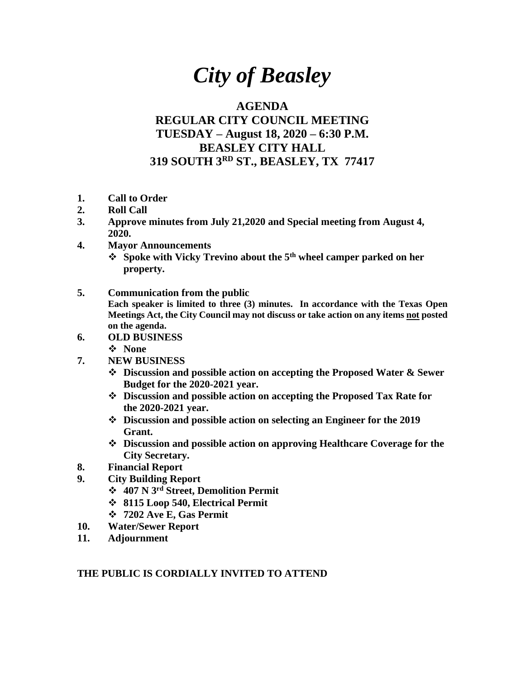## *City of Beasley*

## **AGENDA**

## **REGULAR CITY COUNCIL MEETING TUESDAY – August 18, 2020 – 6:30 P.M. BEASLEY CITY HALL 319 SOUTH 3RD ST., BEASLEY, TX 77417**

- **1. Call to Order**
- **2. Roll Call**
- **3. Approve minutes from July 21,2020 and Special meeting from August 4, 2020.**
- **4. Mayor Announcements**
	- ❖ **Spoke with Vicky Trevino about the 5th wheel camper parked on her property.**
- **5. Communication from the public Each speaker is limited to three (3) minutes. In accordance with the Texas Open Meetings Act, the City Council may not discuss or take action on any items not posted on the agenda.**
- **6. OLD BUSINESS**
	- ❖ **None**
- **7. NEW BUSINESS**
	- ❖ **Discussion and possible action on accepting the Proposed Water & Sewer Budget for the 2020-2021 year.**
	- ❖ **Discussion and possible action on accepting the Proposed Tax Rate for the 2020-2021 year.**
	- ❖ **Discussion and possible action on selecting an Engineer for the 2019 Grant.**
	- ❖ **Discussion and possible action on approving Healthcare Coverage for the City Secretary.**
- **8. Financial Report**
- **9. City Building Report**
	- ❖ **407 N 3rd Street, Demolition Permit**
	- ❖ **8115 Loop 540, Electrical Permit**
	- ❖ **7202 Ave E, Gas Permit**
- **10. Water/Sewer Report**
- **11. Adjournment**

## **THE PUBLIC IS CORDIALLY INVITED TO ATTEND**